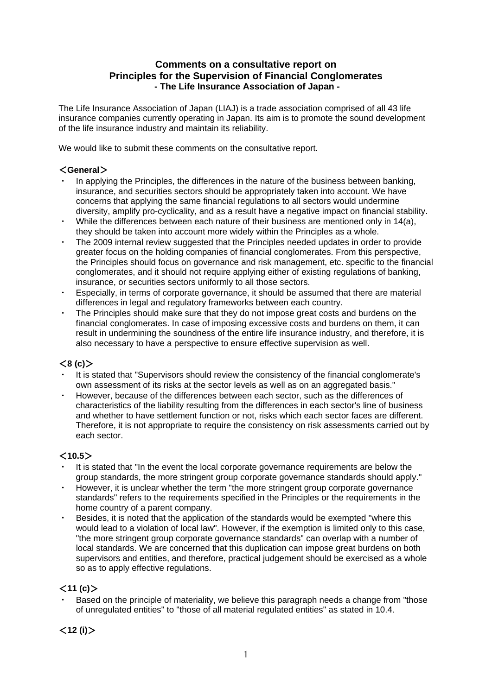### **Comments on a consultative report on Principles for the Supervision of Financial Conglomerates - The Life Insurance Association of Japan -**

The Life Insurance Association of Japan (LIAJ) is a trade association comprised of all 43 life insurance companies currently operating in Japan. Its aim is to promote the sound development of the life insurance industry and maintain its reliability.

We would like to submit these comments on the consultative report.

#### <**General**>

- In applying the Principles, the differences in the nature of the business between banking, insurance, and securities sectors should be appropriately taken into account. We have concerns that applying the same financial regulations to all sectors would undermine diversity, amplify pro-cyclicality, and as a result have a negative impact on financial stability.
- While the differences between each nature of their business are mentioned only in  $14(a)$ , they should be taken into account more widely within the Principles as a whole.
- The 2009 internal review suggested that the Principles needed updates in order to provide greater focus on the holding companies of financial conglomerates. From this perspective, the Principles should focus on governance and risk management, etc. specific to the financial conglomerates, and it should not require applying either of existing regulations of banking, insurance, or securities sectors uniformly to all those sectors.
- Especially, in terms of corporate governance, it should be assumed that there are material differences in legal and regulatory frameworks between each country.
- The Principles should make sure that they do not impose great costs and burdens on the financial conglomerates. In case of imposing excessive costs and burdens on them, it can result in undermining the soundness of the entire life insurance industry, and therefore, it is also necessary to have a perspective to ensure effective supervision as well.

#### <**8 (c)**>

- It is stated that "Supervisors should review the consistency of the financial conglomerate's own assessment of its risks at the sector levels as well as on an aggregated basis."
- However, because of the differences between each sector, such as the differences of characteristics of the liability resulting from the differences in each sector's line of business and whether to have settlement function or not, risks which each sector faces are different. Therefore, it is not appropriate to require the consistency on risk assessments carried out by each sector.

#### <**10.5**>

- It is stated that "In the event the local corporate governance requirements are below the group standards, the more stringent group corporate governance standards should apply."
- However, it is unclear whether the term "the more stringent group corporate governance standards" refers to the requirements specified in the Principles or the requirements in the home country of a parent company.
- Besides, it is noted that the application of the standards would be exempted "where this would lead to a violation of local law". However, if the exemption is limited only to this case, "the more stringent group corporate governance standards" can overlap with a number of local standards. We are concerned that this duplication can impose great burdens on both supervisors and entities, and therefore, practical judgement should be exercised as a whole so as to apply effective regulations.

#### $<$ **11 (c)** $>$

Based on the principle of materiality, we believe this paragraph needs a change from "those of unregulated entities" to "those of all material regulated entities" as stated in 10.4.

 $<$ **12** (i) $>$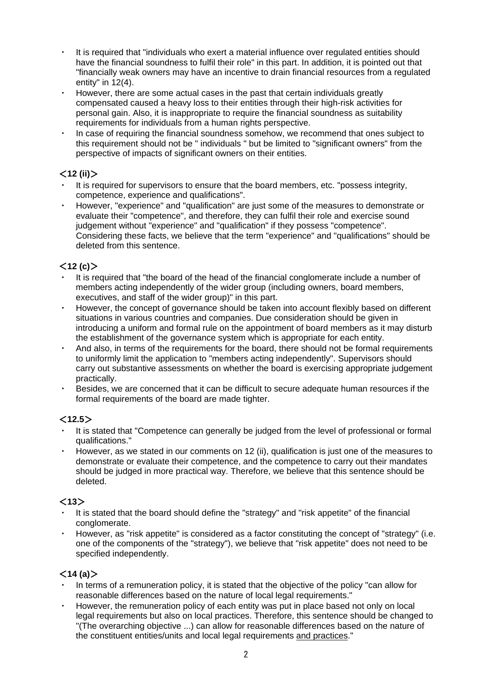- ・ It is required that "individuals who exert a material influence over regulated entities should have the financial soundness to fulfil their role" in this part. In addition, it is pointed out that "financially weak owners may have an incentive to drain financial resources from a regulated entity" in  $12(4)$ .
- However, there are some actual cases in the past that certain individuals greatly compensated caused a heavy loss to their entities through their high-risk activities for personal gain. Also, it is inappropriate to require the financial soundness as suitability requirements for individuals from a human rights perspective.
- In case of requiring the financial soundness somehow, we recommend that ones subject to this requirement should not be " individuals " but be limited to "significant owners" from the perspective of impacts of significant owners on their entities.

# <**12 (ii)**>

- It is required for supervisors to ensure that the board members, etc. "possess integrity, competence, experience and qualifications".
- ・ However, "experience" and "qualification" are just some of the measures to demonstrate or evaluate their "competence", and therefore, they can fulfil their role and exercise sound judgement without "experience" and "qualification" if they possess "competence". Considering these facts, we believe that the term "experience" and "qualifications" should be deleted from this sentence.

# $<$ **12 (c)** $>$

- It is required that "the board of the head of the financial conglomerate include a number of members acting independently of the wider group (including owners, board members, executives, and staff of the wider group)" in this part.
- However, the concept of governance should be taken into account flexibly based on different situations in various countries and companies. Due consideration should be given in introducing a uniform and formal rule on the appointment of board members as it may disturb the establishment of the governance system which is appropriate for each entity.
- And also, in terms of the requirements for the board, there should not be formal requirements to uniformly limit the application to "members acting independently". Supervisors should carry out substantive assessments on whether the board is exercising appropriate judgement practically.
- Besides, we are concerned that it can be difficult to secure adequate human resources if the formal requirements of the board are made tighter.

# <**12.5**>

- It is stated that "Competence can generally be judged from the level of professional or formal qualifications."
- ・ However, as we stated in our comments on 12 (ii), qualification is just one of the measures to demonstrate or evaluate their competence, and the competence to carry out their mandates should be judged in more practical way. Therefore, we believe that this sentence should be deleted.

## $<$ **13** $>$

- It is stated that the board should define the "strategy" and "risk appetite" of the financial conglomerate.
- However, as "risk appetite" is considered as a factor constituting the concept of "strategy" (i.e. one of the components of the "strategy"), we believe that "risk appetite" does not need to be specified independently.

## $<$ **14 (a)** $>$

- In terms of a remuneration policy, it is stated that the objective of the policy "can allow for reasonable differences based on the nature of local legal requirements."
- However, the remuneration policy of each entity was put in place based not only on local legal requirements but also on local practices. Therefore, this sentence should be changed to "(The overarching objective ...) can allow for reasonable differences based on the nature of the constituent entities/units and local legal requirements and practices."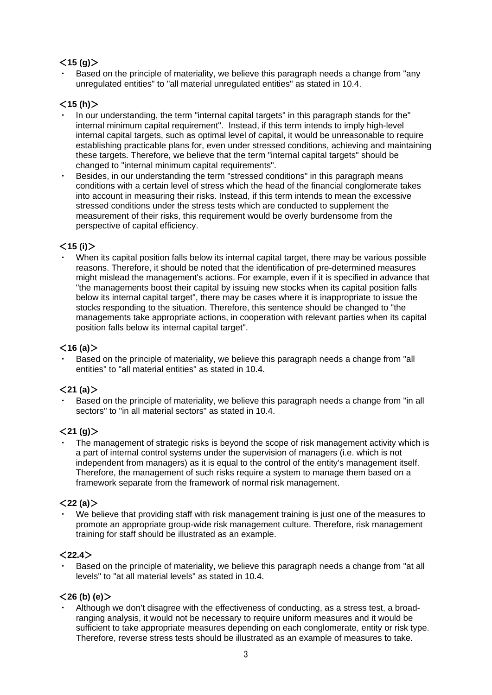## $<$ **15 (g)** $>$

Based on the principle of materiality, we believe this paragraph needs a change from "any unregulated entities" to "all material unregulated entities" as stated in 10.4.

## <**15 (h)**>

- In our understanding, the term "internal capital targets" in this paragraph stands for the" internal minimum capital requirement". Instead, if this term intends to imply high-level internal capital targets, such as optimal level of capital, it would be unreasonable to require establishing practicable plans for, even under stressed conditions, achieving and maintaining these targets. Therefore, we believe that the term "internal capital targets" should be changed to "internal minimum capital requirements".
- Besides, in our understanding the term "stressed conditions" in this paragraph means conditions with a certain level of stress which the head of the financial conglomerate takes into account in measuring their risks. Instead, if this term intends to mean the excessive stressed conditions under the stress tests which are conducted to supplement the measurement of their risks, this requirement would be overly burdensome from the perspective of capital efficiency.

### <**15 (i)**>

When its capital position falls below its internal capital target, there may be various possible reasons. Therefore, it should be noted that the identification of pre-determined measures might mislead the management's actions. For example, even if it is specified in advance that "the managements boost their capital by issuing new stocks when its capital position falls below its internal capital target", there may be cases where it is inappropriate to issue the stocks responding to the situation. Therefore, this sentence should be changed to "the managements take appropriate actions, in cooperation with relevant parties when its capital position falls below its internal capital target".

#### $<$ **16 (a)** $>$

Based on the principle of materiality, we believe this paragraph needs a change from "all entities" to "all material entities" as stated in 10.4.

#### <**21 (a)**>

Based on the principle of materiality, we believe this paragraph needs a change from "in all sectors" to "in all material sectors" as stated in 10.4.

#### $<$ 21 (g) $>$

The management of strategic risks is beyond the scope of risk management activity which is a part of internal control systems under the supervision of managers (i.e. which is not independent from managers) as it is equal to the control of the entity's management itself. Therefore, the management of such risks require a system to manage them based on a framework separate from the framework of normal risk management.

#### <**22 (a)**>

We believe that providing staff with risk management training is just one of the measures to promote an appropriate group-wide risk management culture. Therefore, risk management training for staff should be illustrated as an example.

#### <**22.4**>

Based on the principle of materiality, we believe this paragraph needs a change from "at all levels" to "at all material levels" as stated in 10.4.

#### <**26 (b) (e)**>

Although we don't disagree with the effectiveness of conducting, as a stress test, a broadranging analysis, it would not be necessary to require uniform measures and it would be sufficient to take appropriate measures depending on each conglomerate, entity or risk type. Therefore, reverse stress tests should be illustrated as an example of measures to take.